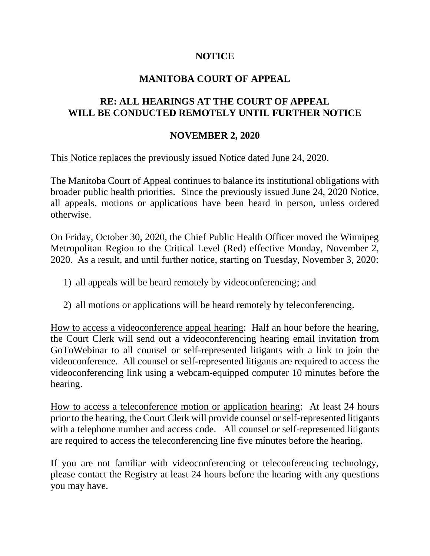## **NOTICE**

## **MANITOBA COURT OF APPEAL**

## **RE: ALL HEARINGS AT THE COURT OF APPEAL WILL BE CONDUCTED REMOTELY UNTIL FURTHER NOTICE**

## **NOVEMBER 2, 2020**

This Notice replaces the previously issued Notice dated June 24, 2020.

The Manitoba Court of Appeal continues to balance its institutional obligations with broader public health priorities. Since the previously issued June 24, 2020 Notice, all appeals, motions or applications have been heard in person, unless ordered otherwise.

On Friday, October 30, 2020, the Chief Public Health Officer moved the Winnipeg Metropolitan Region to the Critical Level (Red) effective Monday, November 2, 2020. As a result, and until further notice, starting on Tuesday, November 3, 2020:

- 1) all appeals will be heard remotely by videoconferencing; and
- 2) all motions or applications will be heard remotely by teleconferencing.

How to access a videoconference appeal hearing: Half an hour before the hearing, the Court Clerk will send out a videoconferencing hearing email invitation from GoToWebinar to all counsel or self-represented litigants with a link to join the videoconference. All counsel or self-represented litigants are required to access the videoconferencing link using a webcam-equipped computer 10 minutes before the hearing.

How to access a teleconference motion or application hearing: At least 24 hours prior to the hearing, the Court Clerk will provide counsel or self-represented litigants with a telephone number and access code. All counsel or self-represented litigants are required to access the teleconferencing line five minutes before the hearing.

If you are not familiar with videoconferencing or teleconferencing technology, please contact the Registry at least 24 hours before the hearing with any questions you may have.